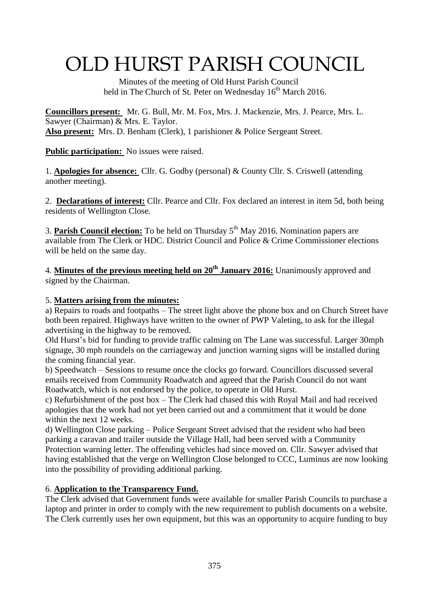# OLD HURST PARISH COUNCIL

 Minutes of the meeting of Old Hurst Parish Council held in The Church of St. Peter on Wednesday  $16<sup>th</sup>$  March 2016.

**Councillors present:** Mr. G. Bull, Mr. M. Fox, Mrs. J. Mackenzie, Mrs. J. Pearce, Mrs. L. Sawyer (Chairman) & Mrs. E. Taylor. **Also present:** Mrs. D. Benham (Clerk), 1 parishioner & Police Sergeant Street.

**Public participation:** No issues were raised.

1. **Apologies for absence:** Cllr. G. Godby (personal) & County Cllr. S. Criswell (attending another meeting).

2. **Declarations of interest:** Cllr. Pearce and Cllr. Fox declared an interest in item 5d, both being residents of Wellington Close.

3. **Parish Council election:** To be held on Thursday 5th May 2016. Nomination papers are available from The Clerk or HDC. District Council and Police & Crime Commissioner elections will be held on the same day.

4. **Minutes of the previous meeting held on 20th January 2016:** Unanimously approved and signed by the Chairman.

### 5. **Matters arising from the minutes:**

a) Repairs to roads and footpaths – The street light above the phone box and on Church Street have both been repaired. Highways have written to the owner of PWP Valeting, to ask for the illegal advertising in the highway to be removed.

Old Hurst's bid for funding to provide traffic calming on The Lane was successful. Larger 30mph signage, 30 mph roundels on the carriageway and junction warning signs will be installed during the coming financial year.

b) Speedwatch – Sessions to resume once the clocks go forward. Councillors discussed several emails received from Community Roadwatch and agreed that the Parish Council do not want Roadwatch, which is not endorsed by the police, to operate in Old Hurst.

c) Refurbishment of the post box – The Clerk had chased this with Royal Mail and had received apologies that the work had not yet been carried out and a commitment that it would be done within the next 12 weeks.

d) Wellington Close parking – Police Sergeant Street advised that the resident who had been parking a caravan and trailer outside the Village Hall, had been served with a Community Protection warning letter. The offending vehicles had since moved on. Cllr. Sawyer advised that having established that the verge on Wellington Close belonged to CCC, Luminus are now looking into the possibility of providing additional parking.

## 6. **Application to the Transparency Fund.**

The Clerk advised that Government funds were available for smaller Parish Councils to purchase a laptop and printer in order to comply with the new requirement to publish documents on a website. The Clerk currently uses her own equipment, but this was an opportunity to acquire funding to buy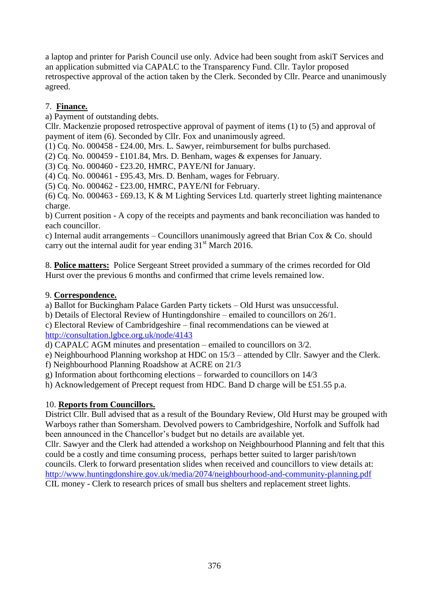a laptop and printer for Parish Council use only. Advice had been sought from askiT Services and an application submitted via CAPALC to the Transparency Fund. Cllr. Taylor proposed retrospective approval of the action taken by the Clerk. Seconded by Cllr. Pearce and unanimously agreed.

## 7. **Finance.**

a) Payment of outstanding debts.

Cllr. Mackenzie proposed retrospective approval of payment of items (1) to (5) and approval of payment of item (6). Seconded by Cllr. Fox and unanimously agreed.

(1) Cq. No. 000458 - £24.00, Mrs. L. Sawyer, reimbursement for bulbs purchased.

(2) Cq. No. 000459 - £101.84, Mrs. D. Benham, wages & expenses for January.

(3) Cq. No. 000460 - £23.20, HMRC, PAYE/NI for January.

(4) Cq. No. 000461 - £95.43, Mrs. D. Benham, wages for February.

(5) Cq. No. 000462 - £23.00, HMRC, PAYE/NI for February.

(6) Cq. No. 000463 - £69.13, K & M Lighting Services Ltd. quarterly street lighting maintenance charge.

b) Current position - A copy of the receipts and payments and bank reconciliation was handed to each councillor.

c) Internal audit arrangements – Councillors unanimously agreed that Brian Cox & Co. should carry out the internal audit for year ending  $31<sup>st</sup>$  March 2016.

8. **Police matters:** Police Sergeant Street provided a summary of the crimes recorded for Old Hurst over the previous 6 months and confirmed that crime levels remained low.

#### 9. **Correspondence.**

a) Ballot for Buckingham Palace Garden Party tickets – Old Hurst was unsuccessful.

b) Details of Electoral Review of Huntingdonshire – emailed to councillors on 26/1.

c) Electoral Review of Cambridgeshire – final recommendations can be viewed at <http://consultation.lgbce.org.uk/node/4143>

d) CAPALC AGM minutes and presentation – emailed to councillors on 3/2.

e) Neighbourhood Planning workshop at HDC on 15/3 – attended by Cllr. Sawyer and the Clerk.

f) Neighbourhood Planning Roadshow at ACRE on 21/3

g) Information about forthcoming elections – forwarded to councillors on 14/3

h) Acknowledgement of Precept request from HDC. Band D charge will be £51.55 p.a.

#### 10. **Reports from Councillors.**

District Cllr. Bull advised that as a result of the Boundary Review, Old Hurst may be grouped with Warboys rather than Somersham. Devolved powers to Cambridgeshire, Norfolk and Suffolk had been announced in the Chancellor's budget but no details are available yet.

Cllr. Sawyer and the Clerk had attended a workshop on Neighbourhood Planning and felt that this could be a costly and time consuming process, perhaps better suited to larger parish/town councils. Clerk to forward presentation slides when received and councillors to view details at: <http://www.huntingdonshire.gov.uk/media/2074/neighbourhood-and-community-planning.pdf> CIL money - Clerk to research prices of small bus shelters and replacement street lights.